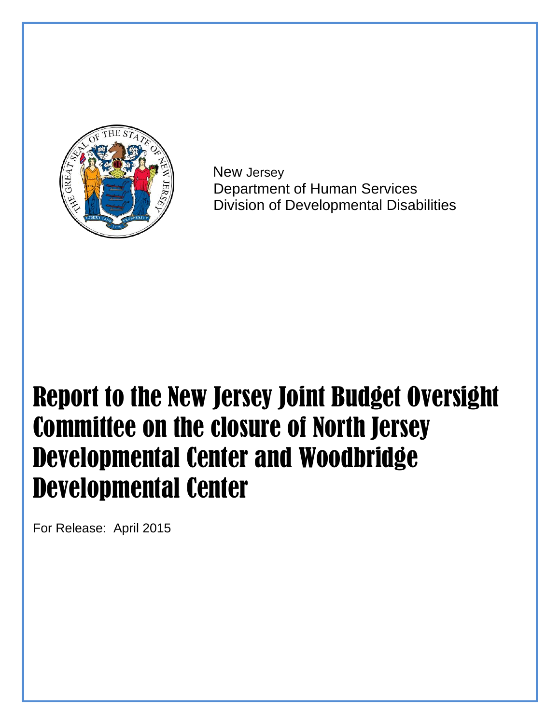

 New Jersey Department of Human Services Division of Developmental Disabilities

# Report to the New Jersey Joint Budget Oversight Committee on the closure of North Jersey Developmental Center and Woodbridge Developmental Center

For Release: April 2015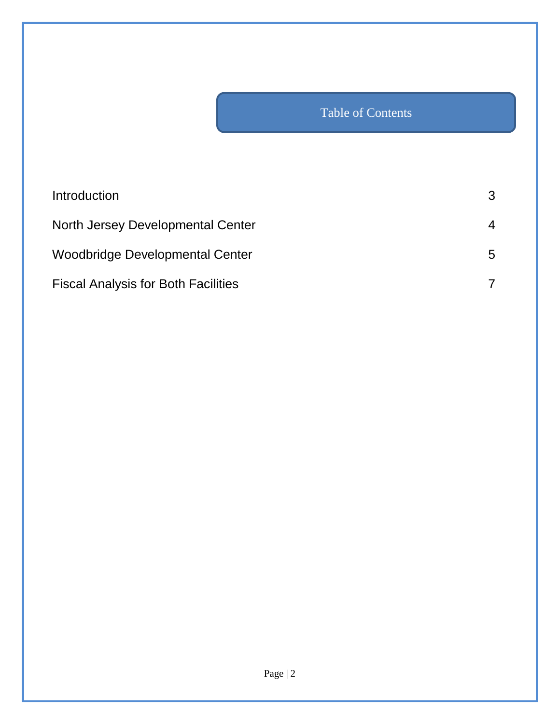## Table of Contents

| Introduction                               | 3 |
|--------------------------------------------|---|
| North Jersey Developmental Center          | 4 |
| Woodbridge Developmental Center            | 5 |
| <b>Fiscal Analysis for Both Facilities</b> |   |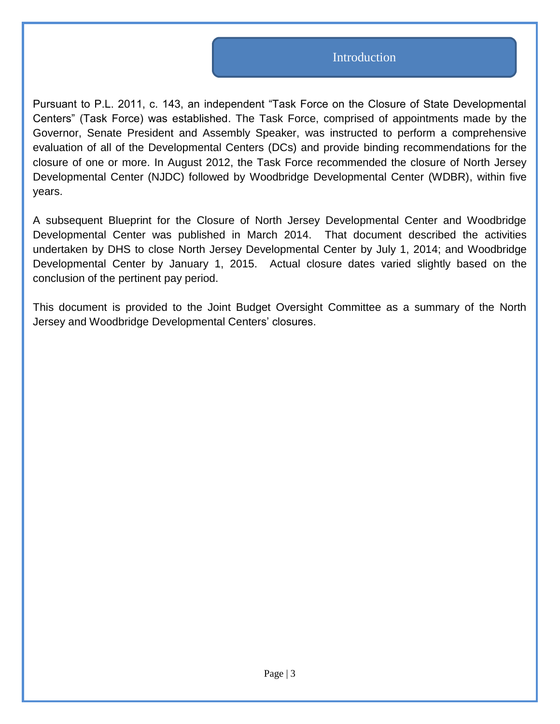#### Introduction

Pursuant to P.L. 2011, c. 143, an independent "Task Force on the Closure of State Developmental Centers" (Task Force) was established. The Task Force, comprised of appointments made by the Governor, Senate President and Assembly Speaker, was instructed to perform a comprehensive evaluation of all of the Developmental Centers (DCs) and provide binding recommendations for the closure of one or more. In August 2012, the Task Force recommended the closure of North Jersey Developmental Center (NJDC) followed by Woodbridge Developmental Center (WDBR), within five years.

A subsequent Blueprint for the Closure of North Jersey Developmental Center and Woodbridge Developmental Center was published in March 2014. That document described the activities undertaken by DHS to close North Jersey Developmental Center by July 1, 2014; and Woodbridge Developmental Center by January 1, 2015. Actual closure dates varied slightly based on the conclusion of the pertinent pay period.

This document is provided to the Joint Budget Oversight Committee as a summary of the North Jersey and Woodbridge Developmental Centers' closures.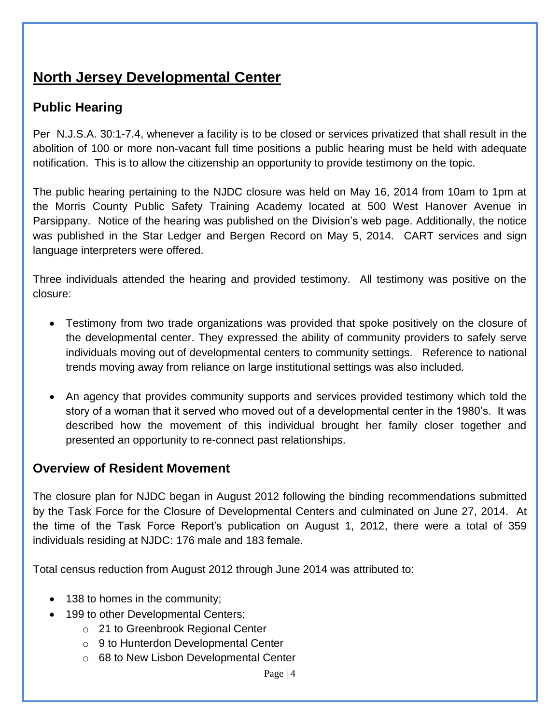## **North Jersey Developmental Center**

### **Public Hearing**

Per N.J.S.A. 30:1-7.4, whenever a facility is to be closed or services privatized that shall result in the abolition of 100 or more non-vacant full time positions a public hearing must be held with adequate notification. This is to allow the citizenship an opportunity to provide testimony on the topic.

The public hearing pertaining to the NJDC closure was held on May 16, 2014 from 10am to 1pm at the Morris County Public Safety Training Academy located at 500 West Hanover Avenue in Parsippany. Notice of the hearing was published on the Division's web page. Additionally, the notice was published in the Star Ledger and Bergen Record on May 5, 2014. CART services and sign language interpreters were offered.

Three individuals attended the hearing and provided testimony. All testimony was positive on the closure:

- Testimony from two trade organizations was provided that spoke positively on the closure of the developmental center. They expressed the ability of community providers to safely serve individuals moving out of developmental centers to community settings. Reference to national trends moving away from reliance on large institutional settings was also included.
- An agency that provides community supports and services provided testimony which told the story of a woman that it served who moved out of a developmental center in the 1980's. It was described how the movement of this individual brought her family closer together and presented an opportunity to re-connect past relationships.

#### **Overview of Resident Movement**

The closure plan for NJDC began in August 2012 following the binding recommendations submitted by the Task Force for the Closure of Developmental Centers and culminated on June 27, 2014. At the time of the Task Force Report's publication on August 1, 2012, there were a total of 359 individuals residing at NJDC: 176 male and 183 female.

Total census reduction from August 2012 through June 2014 was attributed to:

- 138 to homes in the community;
- 199 to other Developmental Centers;
	- o 21 to Greenbrook Regional Center
	- o 9 to Hunterdon Developmental Center
	- o 68 to New Lisbon Developmental Center

Page | 4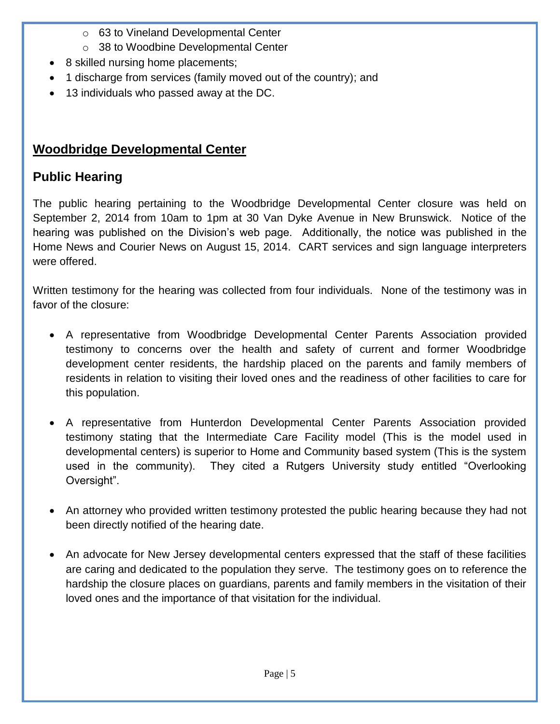- o 63 to Vineland Developmental Center
- o 38 to Woodbine Developmental Center
- 8 skilled nursing home placements;
- 1 discharge from services (family moved out of the country); and
- 13 individuals who passed away at the DC.

## **Woodbridge Developmental Center**

## **Public Hearing**

The public hearing pertaining to the Woodbridge Developmental Center closure was held on September 2, 2014 from 10am to 1pm at 30 Van Dyke Avenue in New Brunswick. Notice of the hearing was published on the Division's web page. Additionally, the notice was published in the Home News and Courier News on August 15, 2014. CART services and sign language interpreters were offered.

Written testimony for the hearing was collected from four individuals. None of the testimony was in favor of the closure:

- A representative from Woodbridge Developmental Center Parents Association provided testimony to concerns over the health and safety of current and former Woodbridge development center residents, the hardship placed on the parents and family members of residents in relation to visiting their loved ones and the readiness of other facilities to care for this population.
- A representative from Hunterdon Developmental Center Parents Association provided testimony stating that the Intermediate Care Facility model (This is the model used in developmental centers) is superior to Home and Community based system (This is the system used in the community). They cited a Rutgers University study entitled "Overlooking Oversight".
- An attorney who provided written testimony protested the public hearing because they had not been directly notified of the hearing date.
- An advocate for New Jersey developmental centers expressed that the staff of these facilities are caring and dedicated to the population they serve. The testimony goes on to reference the hardship the closure places on guardians, parents and family members in the visitation of their loved ones and the importance of that visitation for the individual.